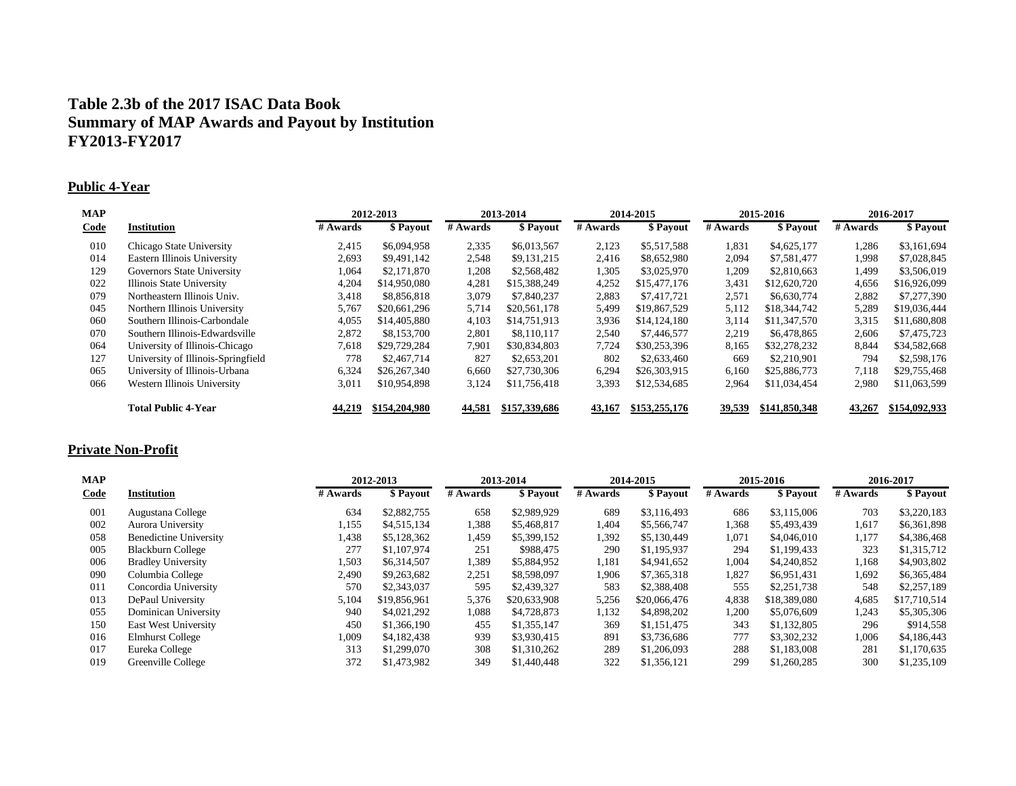# **Table 2.3b of the 2017 ISAC Data Book Summary of MAP Awards and Payout by Institution FY2013-FY2017**

### **Public 4-Year**

| <b>MAP</b>  |                                    |          | 2012-2013     |          | 2013-2014     |          | 2014-2015     |          | 2015-2016     |          | 2016-2017     |  |
|-------------|------------------------------------|----------|---------------|----------|---------------|----------|---------------|----------|---------------|----------|---------------|--|
| <b>Code</b> | Institution                        | # Awards | \$ Payout     | # Awards | \$ Payout     | # Awards | \$ Payout     | # Awards | \$ Payout     | # Awards | \$ Payout     |  |
| 010         | Chicago State University           | 2,415    | \$6,094,958   | 2,335    | \$6,013,567   | 2,123    | \$5,517,588   | 1,831    | \$4,625,177   | 1,286    | \$3,161,694   |  |
| 014         | Eastern Illinois University        | 2,693    | \$9,491,142   | 2,548    | \$9,131,215   | 2,416    | \$8,652,980   | 2,094    | \$7,581,477   | 1,998    | \$7,028,845   |  |
| 129         | Governors State University         | 1,064    | \$2,171,870   | 1,208    | \$2,568,482   | 1,305    | \$3,025,970   | 1,209    | \$2,810,663   | 1,499    | \$3,506,019   |  |
| 022         | Illinois State University          | 4,204    | \$14,950,080  | 4,281    | \$15,388,249  | 4,252    | \$15,477,176  | 3,431    | \$12,620,720  | 4,656    | \$16,926,099  |  |
| 079         | Northeastern Illinois Univ.        | 3,418    | \$8,856,818   | 3,079    | \$7,840,237   | 2,883    | \$7,417,721   | 2,571    | \$6,630,774   | 2,882    | \$7,277,390   |  |
| 045         | Northern Illinois University       | 5,767    | \$20,661,296  | 5,714    | \$20,561,178  | 5,499    | \$19,867,529  | 5,112    | \$18,344,742  | 5,289    | \$19,036,444  |  |
| 060         | Southern Illinois-Carbondale       | 4,055    | \$14,405,880  | 4,103    | \$14,751,913  | 3,936    | \$14,124,180  | 3,114    | \$11,347,570  | 3,315    | \$11,680,808  |  |
| 070         | Southern Illinois-Edwardsville     | 2,872    | \$8,153,700   | 2,801    | \$8,110,117   | 2,540    | \$7,446,577   | 2,219    | \$6,478,865   | 2,606    | \$7,475,723   |  |
| 064         | University of Illinois-Chicago     | 7,618    | \$29,729,284  | 7,901    | \$30,834,803  | 7,724    | \$30,253,396  | 8,165    | \$32,278,232  | 8,844    | \$34,582,668  |  |
| 127         | University of Illinois-Springfield | 778      | \$2,467,714   | 827      | \$2,653,201   | 802      | \$2,633,460   | 669      | \$2,210,901   | 794      | \$2,598,176   |  |
| 065         | University of Illinois-Urbana      | 6,324    | \$26,267,340  | 6,660    | \$27,730,306  | 6,294    | \$26,303,915  | 6,160    | \$25,886,773  | 7.118    | \$29,755,468  |  |
| 066         | Western Illinois University        | 3,011    | \$10,954,898  | 3,124    | \$11,756,418  | 3,393    | \$12,534,685  | 2,964    | \$11,034,454  | 2,980    | \$11,063,599  |  |
|             | <b>Total Public 4-Year</b>         | 44,219   | \$154,204,980 | 44,581   | \$157,339,686 | 43,167   | \$153,255,176 | 39,539   | \$141,850,348 | 43,267   | \$154,092,933 |  |

### **Private Non-Profit**

| <b>MAP</b> |                               |          | 2012-2013    |          | 2013-2014    |          | 2014-2015    |          | 2015-2016    |          | 2016-2017    |  |
|------------|-------------------------------|----------|--------------|----------|--------------|----------|--------------|----------|--------------|----------|--------------|--|
| Code       | <b>Institution</b>            | # Awards | \$ Payout    | # Awards | \$ Payout    | # Awards | \$ Payout    | # Awards | \$ Payout    | # Awards | \$ Payout    |  |
| 001        | Augustana College             | 634      | \$2,882,755  | 658      | \$2,989,929  | 689      | \$3,116,493  | 686      | \$3,115,006  | 703      | \$3,220,183  |  |
| 002        | Aurora University             | 1,155    | \$4,515,134  | 388،     | \$5,468,817  | 1.404    | \$5,566,747  | 1,368    | \$5,493,439  | 1,617    | \$6,361,898  |  |
| 058        | <b>Benedictine University</b> | 1,438    | \$5,128,362  | 459،،    | \$5,399,152  | 1,392    | \$5,130,449  | 1,071    | \$4,046,010  | 1,177    | \$4,386,468  |  |
| 005        | Blackburn College             | 277      | \$1,107,974  | 251      | \$988,475    | 290      | \$1,195,937  | 294      | \$1,199,433  | 323      | \$1,315,712  |  |
| 006        | <b>Bradley University</b>     | 1,503    | \$6,314,507  | 1,389    | \$5,884,952  | 1,181    | \$4,941,652  | 1,004    | \$4,240,852  | 1,168    | \$4,903,802  |  |
| 090        | Columbia College              | 2,490    | \$9,263,682  | 2,251    | \$8,598,097  | 1,906    | \$7,365,318  | 1,827    | \$6,951,431  | 1,692    | \$6,365,484  |  |
| 011        | Concordia University          | 570      | \$2,343,037  | 595      | \$2,439,327  | 583      | \$2,388,408  | 555      | \$2,251,738  | 548      | \$2,257,189  |  |
| 013        | DePaul University             | 5,104    | \$19,856,961 | 5,376    | \$20,633,908 | 5,256    | \$20,066,476 | 4,838    | \$18,389,080 | 4,685    | \$17,710,514 |  |
| 055        | Dominican University          | 940      | \$4,021,292  | 1,088    | \$4,728,873  | 1,132    | \$4,898,202  | 1,200    | \$5,076,609  | 1,243    | \$5,305,306  |  |
| 150        | East West University          | 450      | \$1,366,190  | 455      | \$1,355,147  | 369      | \$1,151,475  | 343      | \$1,132,805  | 296      | \$914,558    |  |
| 016        | <b>Elmhurst College</b>       | 1,009    | \$4,182,438  | 939      | \$3,930,415  | 891      | \$3,736,686  | 777      | \$3,302,232  | 1,006    | \$4,186,443  |  |
| 017        | Eureka College                | 313      | \$1,299,070  | 308      | \$1,310,262  | 289      | \$1,206,093  | 288      | \$1,183,008  | 281      | \$1,170,635  |  |
| 019        | Greenville College            | 372      | \$1,473,982  | 349      | \$1,440,448  | 322      | \$1,356,121  | 299      | \$1,260,285  | 300      | \$1,235,109  |  |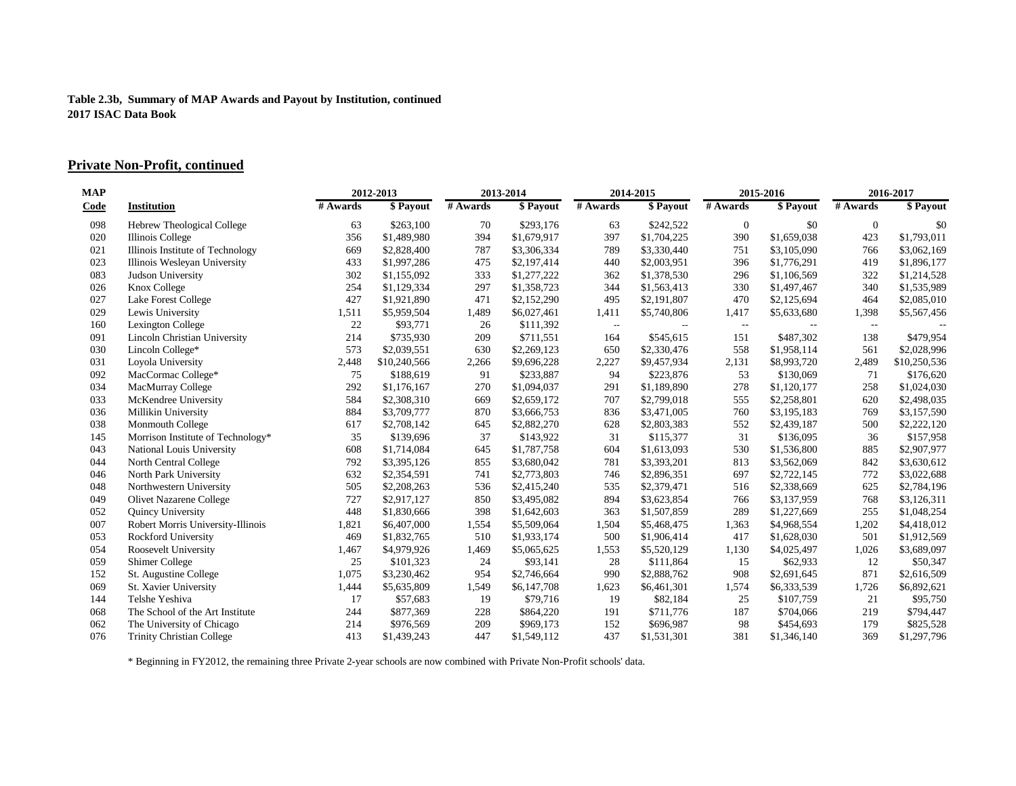### **Private Non-Profit, continued**

| MAP         |                                   |          | 2012-2013    |          | 2013-2014   |                          | 2014-2015   |                                               | 2015-2016     |              | 2016-2017    |  |
|-------------|-----------------------------------|----------|--------------|----------|-------------|--------------------------|-------------|-----------------------------------------------|---------------|--------------|--------------|--|
| <b>Code</b> | <b>Institution</b>                | # Awards | \$ Payout    | # Awards | \$ Payout   | # Awards                 | \$ Payout   | # Awards                                      | \$ Payout     | # Awards     | \$ Payout    |  |
| 098         | Hebrew Theological College        | 63       | \$263,100    | 70       | \$293,176   | 63                       | \$242,522   | $\mathbf{0}$                                  | \$0           | $\mathbf{0}$ | \$0          |  |
| 020         | Illinois College                  | 356      | \$1,489,980  | 394      | \$1,679,917 | 397                      | \$1,704,225 | 390                                           | \$1,659,038   | 423          | \$1,793,011  |  |
| 021         | Illinois Institute of Technology  | 669      | \$2,828,400  | 787      | \$3,306,334 | 789                      | \$3,330,440 | 751                                           | \$3,105,090   | 766          | \$3,062,169  |  |
| 023         | Illinois Wesleyan University      | 433      | \$1,997,286  | 475      | \$2,197,414 | 440                      | \$2,003,951 | 396                                           | \$1,776,291   | 419          | \$1,896,177  |  |
| 083         | Judson University                 | 302      | \$1,155,092  | 333      | \$1,277,222 | 362                      | \$1,378,530 | 296                                           | \$1,106,569   | 322          | \$1,214,528  |  |
| 026         | Knox College                      | 254      | \$1,129,334  | 297      | \$1,358,723 | 344                      | \$1,563,413 | 330                                           | \$1,497,467   | 340          | \$1,535,989  |  |
| 027         | Lake Forest College               | 427      | \$1,921,890  | 471      | \$2,152,290 | 495                      | \$2,191,807 | 470                                           | \$2,125,694   | 464          | \$2,085,010  |  |
| 029         | Lewis University                  | 1,511    | \$5,959,504  | 1,489    | \$6,027,461 | 1,411                    | \$5,740,806 | 1,417                                         | \$5,633,680   | 1,398        | \$5,567,456  |  |
| 160         | Lexington College                 | 22       | \$93,771     | 26       | \$111,392   | $\overline{\phantom{a}}$ | $- -$       | $\mathord{\hspace{1pt}\text{--}\hspace{1pt}}$ | $\sim$ $\sim$ | $\sim$       |              |  |
| 091         | Lincoln Christian University      | 214      | \$735,930    | 209      | \$711,551   | 164                      | \$545,615   | 151                                           | \$487,302     | 138          | \$479,954    |  |
| 030         | Lincoln College*                  | 573      | \$2,039,551  | 630      | \$2,269,123 | 650                      | \$2,330,476 | 558                                           | \$1,958,114   | 561          | \$2,028,996  |  |
| 031         | Loyola University                 | 2,448    | \$10,240,566 | 2,266    | \$9,696,228 | 2,227                    | \$9,457,934 | 2,131                                         | \$8,993,720   | 2,489        | \$10,250,536 |  |
| 092         | MacCormac College*                | 75       | \$188,619    | 91       | \$233,887   | 94                       | \$223,876   | 53                                            | \$130,069     | 71           | \$176,620    |  |
| 034         | MacMurray College                 | 292      | \$1,176,167  | 270      | \$1,094,037 | 291                      | \$1,189,890 | 278                                           | \$1,120,177   | 258          | \$1,024,030  |  |
| 033         | McKendree University              | 584      | \$2,308,310  | 669      | \$2,659,172 | 707                      | \$2,799,018 | 555                                           | \$2,258,801   | 620          | \$2,498,035  |  |
| 036         | Millikin University               | 884      | \$3,709,777  | 870      | \$3,666,753 | 836                      | \$3,471,005 | 760                                           | \$3,195,183   | 769          | \$3,157,590  |  |
| 038         | Monmouth College                  | 617      | \$2,708,142  | 645      | \$2,882,270 | 628                      | \$2,803,383 | 552                                           | \$2,439,187   | 500          | \$2,222,120  |  |
| 145         | Morrison Institute of Technology* | 35       | \$139,696    | 37       | \$143,922   | 31                       | \$115,377   | 31                                            | \$136,095     | 36           | \$157,958    |  |
| 043         | National Louis University         | 608      | \$1,714,084  | 645      | \$1,787,758 | 604                      | \$1,613,093 | 530                                           | \$1,536,800   | 885          | \$2,907,977  |  |
| 044         | North Central College             | 792      | \$3,395,126  | 855      | \$3,680,042 | 781                      | \$3,393,201 | 813                                           | \$3,562,069   | 842          | \$3,630,612  |  |
| 046         | North Park University             | 632      | \$2,354,591  | 741      | \$2,773,803 | 746                      | \$2,896,351 | 697                                           | \$2,722,145   | 772          | \$3,022,688  |  |
| 048         | Northwestern University           | 505      | \$2,208,263  | 536      | \$2,415,240 | 535                      | \$2,379,471 | 516                                           | \$2,338,669   | 625          | \$2,784,196  |  |
| 049         | <b>Olivet Nazarene College</b>    | 727      | \$2,917,127  | 850      | \$3,495,082 | 894                      | \$3,623,854 | 766                                           | \$3,137,959   | 768          | \$3,126,311  |  |
| 052         | Quincy University                 | 448      | \$1,830,666  | 398      | \$1,642,603 | 363                      | \$1,507,859 | 289                                           | \$1,227,669   | 255          | \$1,048,254  |  |
| 007         | Robert Morris University-Illinois | 1,821    | \$6,407,000  | 1,554    | \$5,509,064 | 1,504                    | \$5,468,475 | 1,363                                         | \$4,968,554   | 1,202        | \$4,418,012  |  |
| 053         | Rockford University               | 469      | \$1,832,765  | 510      | \$1,933,174 | 500                      | \$1,906,414 | 417                                           | \$1,628,030   | 501          | \$1,912,569  |  |
| 054         | Roosevelt University              | 1,467    | \$4,979,926  | 1,469    | \$5,065,625 | 1,553                    | \$5,520,129 | 1,130                                         | \$4,025,497   | 1,026        | \$3,689,097  |  |
| 059         | Shimer College                    | 25       | \$101,323    | 24       | \$93,141    | 28                       | \$111,864   | 15                                            | \$62,933      | 12           | \$50,347     |  |
| 152         | St. Augustine College             | 1,075    | \$3,230,462  | 954      | \$2,746,664 | 990                      | \$2,888,762 | 908                                           | \$2,691,645   | 871          | \$2,616,509  |  |
| 069         | St. Xavier University             | 1,444    | \$5,635,809  | 1,549    | \$6,147,708 | 1,623                    | \$6,461,301 | 1,574                                         | \$6,333,539   | 1,726        | \$6,892,621  |  |
| 144         | Telshe Yeshiva                    | 17       | \$57,683     | 19       | \$79,716    | 19                       | \$82,184    | 25                                            | \$107,759     | 21           | \$95,750     |  |
| 068         | The School of the Art Institute   | 244      | \$877,369    | 228      | \$864,220   | 191                      | \$711,776   | 187                                           | \$704,066     | 219          | \$794,447    |  |
| 062         | The University of Chicago         | 214      | \$976,569    | 209      | \$969,173   | 152                      | \$696,987   | 98                                            | \$454,693     | 179          | \$825,528    |  |
| 076         | <b>Trinity Christian College</b>  | 413      | \$1,439,243  | 447      | \$1,549,112 | 437                      | \$1,531,301 | 381                                           | \$1,346,140   | 369          | \$1,297,796  |  |

\* Beginning in FY2012, the remaining three Private 2-year schools are now combined with Private Non-Profit schools' data.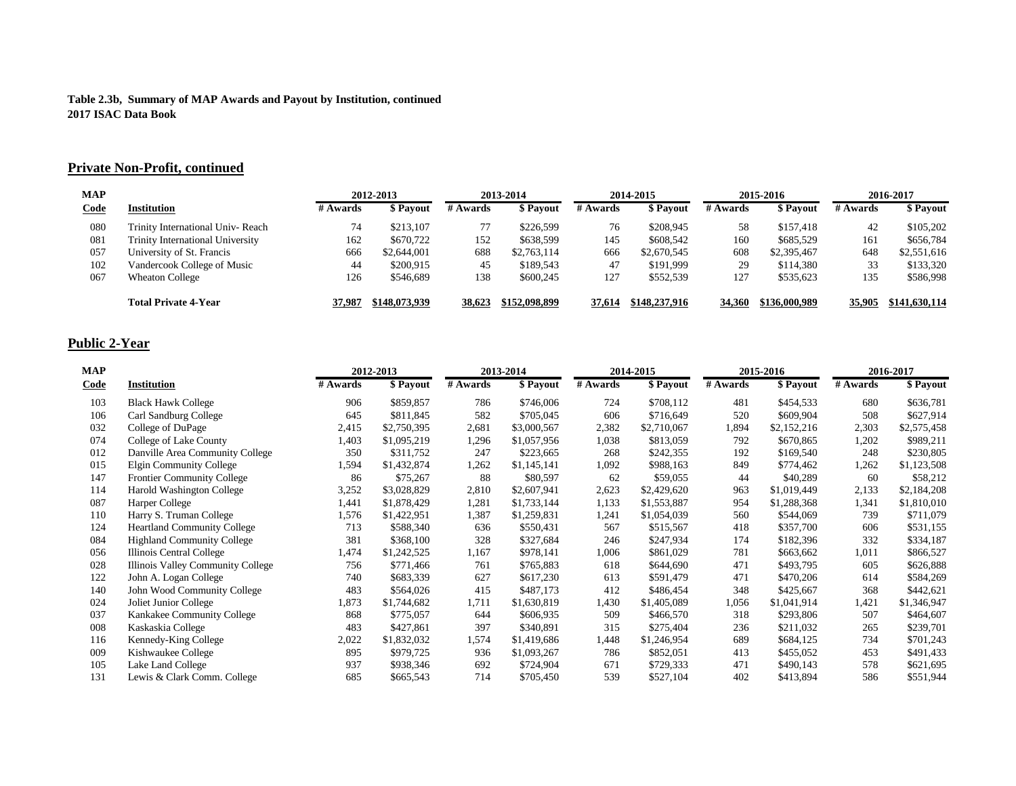### **Private Non-Profit, continued**

| <b>MAP</b>  |                                         | 2012-2013 |               | 2013-2014 |               | 2014-2015 |               | 2015-2016 |               | 2016-2017 |                 |
|-------------|-----------------------------------------|-----------|---------------|-----------|---------------|-----------|---------------|-----------|---------------|-----------|-----------------|
| <u>Code</u> | <b>Institution</b>                      | # Awards  | \$ Pavout     | # Awards  | \$ Payout     | # Awards  | \$ Payout     | # Awards  | \$ Payout     | # Awards  | <b>S</b> Pavout |
| 080         | Trinity International Univ-Reach        | 74        | \$213,107     |           | \$226,599     | 76        | \$208,945     | 58        | \$157.418     | 42        | \$105,202       |
| 081         | <b>Trinity International University</b> | 162       | \$670,722     | 152       | \$638,599     | 145       | \$608,542     | 160       | \$685,529     | 161       | \$656,784       |
| 057         | University of St. Francis               | 666       | \$2,644,001   | 688       | \$2,763,114   | 666       | \$2,670,545   | 608       | \$2,395,467   | 648       | \$2,551,616     |
| 102         | Vandercook College of Music             | 44        | \$200.915     | 45        | \$189,543     | 47        | \$191.999     | 29        | \$114,380     | 33        | \$133,320       |
| 067         | <b>Wheaton College</b>                  | 126       | \$546,689     | 138       | \$600,245     | 127       | \$552,539     | 127       | \$535,623     | 135       | \$586,998       |
|             | <b>Total Private 4-Year</b>             | 37.987    | \$148,073,939 | 38,623    | \$152,098,899 | 37.614    | \$148,237,916 | 34,360    | \$136,000,989 | 35,905    | \$141,630,114   |

### **Public 2-Year**

| <b>MAP</b>  |                                    | 2012-2013 |             | 2013-2014 |             | 2014-2015 |             | 2015-2016 |             | 2016-2017 |             |
|-------------|------------------------------------|-----------|-------------|-----------|-------------|-----------|-------------|-----------|-------------|-----------|-------------|
| <u>Code</u> | <b>Institution</b>                 | # Awards  | \$ Payout   | # Awards  | \$ Payout   | # Awards  | \$ Payout   | # Awards  | \$ Payout   | # Awards  | \$ Payout   |
| 103         | <b>Black Hawk College</b>          | 906       | \$859,857   | 786       | \$746,006   | 724       | \$708,112   | 481       | \$454,533   | 680       | \$636,781   |
| 106         | Carl Sandburg College              | 645       | \$811,845   | 582       | \$705,045   | 606       | \$716,649   | 520       | \$609,904   | 508       | \$627,914   |
| 032         | College of DuPage                  | 2,415     | \$2,750,395 | 2,681     | \$3,000,567 | 2,382     | \$2,710,067 | 1,894     | \$2,152,216 | 2,303     | \$2,575,458 |
| 074         | College of Lake County             | 1,403     | \$1,095,219 | 1,296     | \$1,057,956 | 1,038     | \$813,059   | 792       | \$670,865   | 1,202     | \$989,211   |
| 012         | Danville Area Community College    | 350       | \$311,752   | 247       | \$223,665   | 268       | \$242,355   | 192       | \$169,540   | 248       | \$230,805   |
| 015         | Elgin Community College            | 1,594     | \$1,432,874 | 1,262     | \$1,145,141 | 1,092     | \$988,163   | 849       | \$774,462   | 1,262     | \$1,123,508 |
| 147         | <b>Frontier Community College</b>  | 86        | \$75,267    | 88        | \$80,597    | 62        | \$59,055    | 44        | \$40,289    | 60        | \$58,212    |
| 114         | Harold Washington College          | 3,252     | \$3,028,829 | 2,810     | \$2,607,941 | 2,623     | \$2,429,620 | 963       | \$1,019,449 | 2,133     | \$2,184,208 |
| 087         | Harper College                     | 1,441     | \$1,878,429 | 1,281     | \$1,733,144 | 1,133     | \$1,553,887 | 954       | \$1,288,368 | 1,341     | \$1,810,010 |
| 110         | Harry S. Truman College            | 1,576     | \$1,422,951 | 1,387     | \$1,259,831 | 1,241     | \$1,054,039 | 560       | \$544,069   | 739       | \$711,079   |
| 124         | <b>Heartland Community College</b> | 713       | \$588,340   | 636       | \$550,431   | 567       | \$515,567   | 418       | \$357,700   | 606       | \$531,155   |
| 084         | <b>Highland Community College</b>  | 381       | \$368,100   | 328       | \$327,684   | 246       | \$247,934   | 174       | \$182,396   | 332       | \$334,187   |
| 056         | Illinois Central College           | 1,474     | \$1,242,525 | 1,167     | \$978,141   | 1,006     | \$861,029   | 781       | \$663,662   | 1,011     | \$866,527   |
| 028         | Illinois Valley Community College  | 756       | \$771,466   | 761       | \$765,883   | 618       | \$644,690   | 471       | \$493,795   | 605       | \$626,888   |
| 122         | John A. Logan College              | 740       | \$683,339   | 627       | \$617,230   | 613       | \$591,479   | 471       | \$470,206   | 614       | \$584,269   |
| 140         | John Wood Community College        | 483       | \$564,026   | 415       | \$487,173   | 412       | \$486,454   | 348       | \$425,667   | 368       | \$442,621   |
| 024         | Joliet Junior College              | 1,873     | \$1,744,682 | 1,711     | \$1,630,819 | 1,430     | \$1,405,089 | 1,056     | \$1,041,914 | 1,421     | \$1,346,947 |
| 037         | Kankakee Community College         | 868       | \$775,057   | 644       | \$606,935   | 509       | \$466,570   | 318       | \$293,806   | 507       | \$464,607   |
| 008         | Kaskaskia College                  | 483       | \$427,861   | 397       | \$340,891   | 315       | \$275,404   | 236       | \$211,032   | 265       | \$239,701   |
| 116         | Kennedy-King College               | 2,022     | \$1,832,032 | 1,574     | \$1,419,686 | 1,448     | \$1,246,954 | 689       | \$684,125   | 734       | \$701,243   |
| 009         | Kishwaukee College                 | 895       | \$979,725   | 936       | \$1,093,267 | 786       | \$852,051   | 413       | \$455,052   | 453       | \$491,433   |
| 105         | Lake Land College                  | 937       | \$938,346   | 692       | \$724,904   | 671       | \$729,333   | 471       | \$490,143   | 578       | \$621,695   |
| 131         | Lewis & Clark Comm. College        | 685       | \$665,543   | 714       | \$705,450   | 539       | \$527,104   | 402       | \$413,894   | 586       | \$551,944   |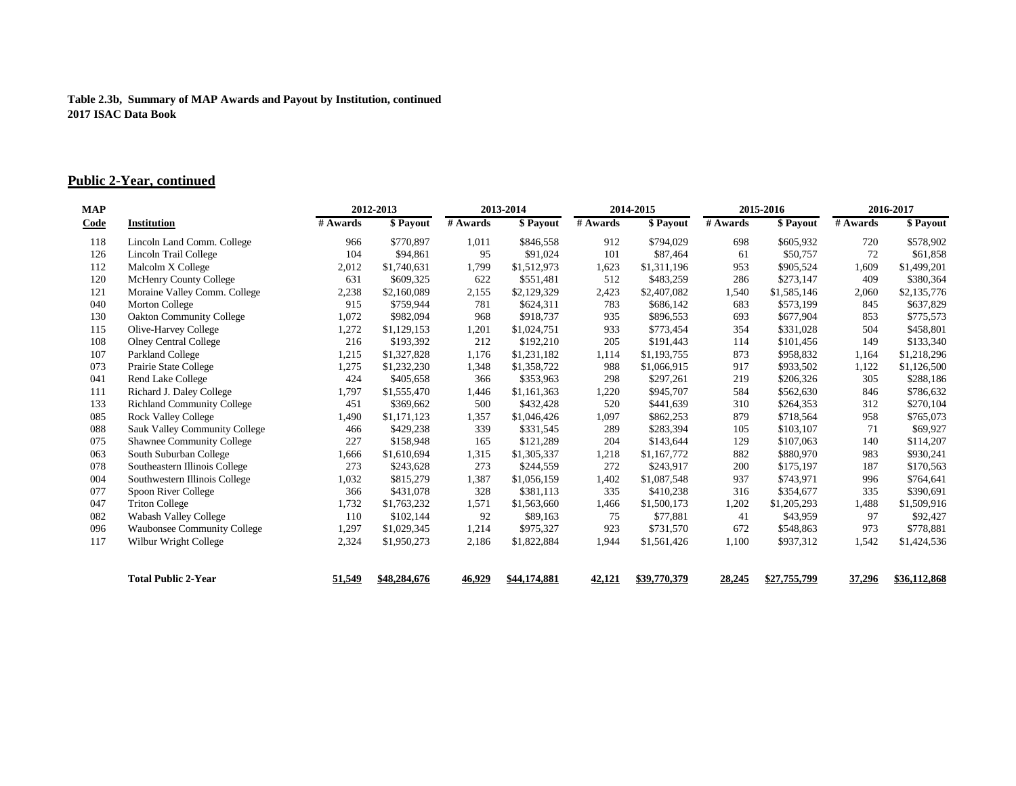### **Public 2-Year, continued**

| MAP         |                                      |          | 2012-2013    |          | 2013-2014    |          | 2014-2015    |          | 2015-2016    |          | 2016-2017    |  |
|-------------|--------------------------------------|----------|--------------|----------|--------------|----------|--------------|----------|--------------|----------|--------------|--|
| <u>Code</u> | <b>Institution</b>                   | # Awards | \$ Payout    | # Awards | \$ Payout    | # Awards | \$ Payout    | # Awards | \$ Payout    | # Awards | \$ Payout    |  |
| 118         | Lincoln Land Comm. College           | 966      | \$770,897    | 1,011    | \$846,558    | 912      | \$794,029    | 698      | \$605,932    | 720      | \$578,902    |  |
| 126         | Lincoln Trail College                | 104      | \$94,861     | 95       | \$91,024     | 101      | \$87,464     | 61       | \$50,757     | 72       | \$61,858     |  |
| 112         | Malcolm X College                    | 2,012    | \$1,740,631  | 1,799    | \$1,512,973  | 1,623    | \$1,311,196  | 953      | \$905,524    | 1,609    | \$1,499,201  |  |
| 120         | McHenry County College               | 631      | \$609,325    | 622      | \$551,481    | 512      | \$483,259    | 286      | \$273,147    | 409      | \$380,364    |  |
| 121         | Moraine Valley Comm. College         | 2,238    | \$2,160,089  | 2,155    | \$2,129,329  | 2,423    | \$2,407,082  | 1,540    | \$1,585,146  | 2,060    | \$2,135,776  |  |
| 040         | <b>Morton College</b>                | 915      | \$759,944    | 781      | \$624,311    | 783      | \$686,142    | 683      | \$573,199    | 845      | \$637,829    |  |
| 130         | <b>Oakton Community College</b>      | 1,072    | \$982,094    | 968      | \$918,737    | 935      | \$896,553    | 693      | \$677,904    | 853      | \$775,573    |  |
| 115         | Olive-Harvey College                 | 1,272    | \$1,129,153  | 1,201    | \$1,024,751  | 933      | \$773,454    | 354      | \$331,028    | 504      | \$458,801    |  |
| 108         | <b>Olney Central College</b>         | 216      | \$193,392    | 212      | \$192,210    | 205      | \$191,443    | 114      | \$101,456    | 149      | \$133,340    |  |
| 107         | Parkland College                     | 1,215    | \$1,327,828  | 1,176    | \$1,231,182  | 1,114    | \$1,193,755  | 873      | \$958,832    | 1,164    | \$1,218,296  |  |
| 073         | Prairie State College                | 1,275    | \$1,232,230  | 1,348    | \$1,358,722  | 988      | \$1,066,915  | 917      | \$933,502    | 1,122    | \$1,126,500  |  |
| 041         | <b>Rend Lake College</b>             | 424      | \$405,658    | 366      | \$353,963    | 298      | \$297,261    | 219      | \$206,326    | 305      | \$288,186    |  |
| 111         | Richard J. Daley College             | 1,797    | \$1,555,470  | 1,446    | \$1,161,363  | 1,220    | \$945,707    | 584      | \$562,630    | 846      | \$786,632    |  |
| 133         | Richland Community College           | 451      | \$369,662    | 500      | \$432,428    | 520      | \$441,639    | 310      | \$264,353    | 312      | \$270,104    |  |
| 085         | <b>Rock Valley College</b>           | 1,490    | \$1,171,123  | 1,357    | \$1,046,426  | 1,097    | \$862,253    | 879      | \$718,564    | 958      | \$765,073    |  |
| 088         | <b>Sauk Valley Community College</b> | 466      | \$429,238    | 339      | \$331,545    | 289      | \$283,394    | 105      | \$103,107    | 71       | \$69,927     |  |
| 075         | Shawnee Community College            | 227      | \$158,948    | 165      | \$121,289    | 204      | \$143,644    | 129      | \$107,063    | 140      | \$114,207    |  |
| 063         | South Suburban College               | 1,666    | \$1,610,694  | 1,315    | \$1,305,337  | 1,218    | \$1,167,772  | 882      | \$880,970    | 983      | \$930,241    |  |
| 078         | Southeastern Illinois College        | 273      | \$243,628    | 273      | \$244,559    | 272      | \$243,917    | 200      | \$175,197    | 187      | \$170,563    |  |
| 004         | Southwestern Illinois College        | 1,032    | \$815,279    | 1,387    | \$1,056,159  | 1,402    | \$1,087,548  | 937      | \$743,971    | 996      | \$764,641    |  |
| 077         | Spoon River College                  | 366      | \$431,078    | 328      | \$381,113    | 335      | \$410,238    | 316      | \$354,677    | 335      | \$390,691    |  |
| 047         | <b>Triton College</b>                | 1,732    | \$1,763,232  | 1,571    | \$1,563,660  | 1,466    | \$1,500,173  | 1,202    | \$1,205,293  | 1,488    | \$1,509,916  |  |
| 082         | <b>Wabash Valley College</b>         | 110      | \$102,144    | 92       | \$89,163     | 75       | \$77,881     | 41       | \$43,959     | 97       | \$92,427     |  |
| 096         | <b>Waubonsee Community College</b>   | 1,297    | \$1,029,345  | 1,214    | \$975,327    | 923      | \$731,570    | 672      | \$548,863    | 973      | \$778,881    |  |
| 117         | Wilbur Wright College                | 2,324    | \$1,950,273  | 2,186    | \$1,822,884  | 1,944    | \$1,561,426  | 1,100    | \$937,312    | 1,542    | \$1,424,536  |  |
|             | <b>Total Public 2-Year</b>           | 51,549   | \$48,284,676 | 46,929   | \$44,174,881 | 42,121   | \$39,770,379 | 28,245   | \$27,755,799 | 37,296   | \$36,112,868 |  |